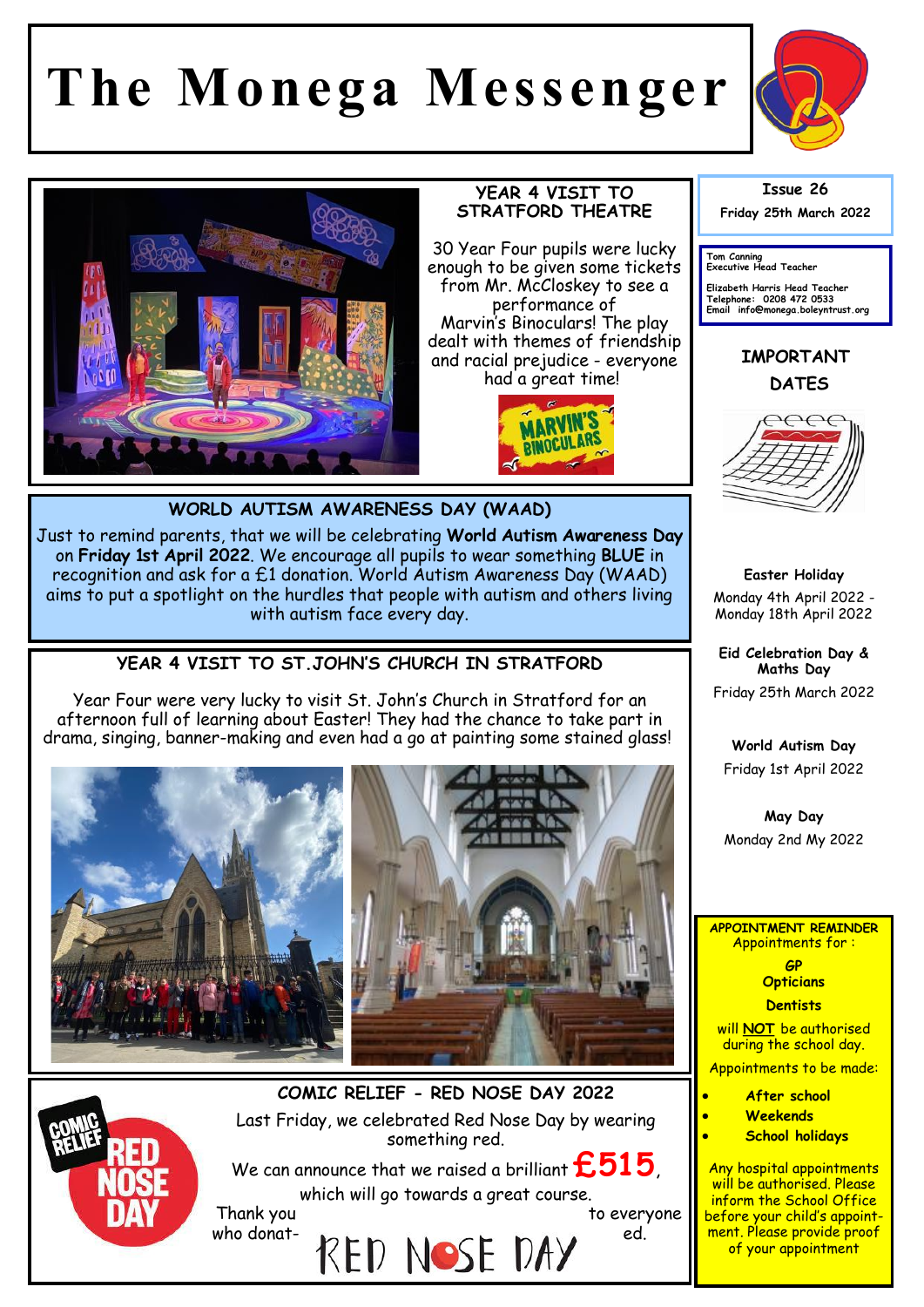## **The Monega Messenger**





## **YEAR 4 VISIT TO STRATFORD THEATRE**

30 Year Four pupils were lucky enough to be given some tickets from Mr. McCloskey to see a performance of Marvin's Binoculars! The play dealt with themes of friendship and racial prejudice - everyone had a great time!



**WORLD AUTISM AWARENESS DAY (WAAD)**

Just to remind parents, that we will be celebrating **World Autism Awareness Day**  on **Friday 1st April 2022**. We encourage all pupils to wear something **BLUE** in recognition and ask for a £1 donation. World Autism Awareness Day (WAAD) aims to put a spotlight on the hurdles that people with autism and others living with autism face every day.

**YEAR 4 VISIT TO ST.JOHN'S CHURCH IN STRATFORD**

Year Four were very lucky to visit St. John's Church in Stratford for an afternoon full of learning about Easter! They had the chance to take part in drama, singing, banner-making and even had a go at painting some stained glass!





**COMIC RELIEF - RED NOSE DAY 2022** Last Friday, we celebrated Red Nose Day by wearing something red.

We can announce that we raised a brilliant  $\pmb{\mathop{\mathsf{E515}}}\,$ which will go towards a great course.

who donat-  $RED$  NOSE DAY  $^{ed.}$ 

Thank you be a set of the control of the everyone to everyone



**Tom Canning Executive Head Teacher**

**Elizabeth Harris Head Teacher Telephone: 0208 472 0533 Email info@monega.boleyntrust.org** 

**IMPORTANT DATES**



**Easter Holiday** Monday 4th April 2022 - Monday 18th April 2022

**Eid Celebration Day & Maths Day** Friday 25th March 2022

**World Autism Day** 

Friday 1st April 2022

**May Day**  Monday 2nd My 2022

**APPOINTMENT REMINDER** Appointments for :

> **GP Opticians**

**Dentists** 

will **NOT** be authorised during the school day.

Appointments to be made:

- **After school**
- **Weekends**
- **School holidays**

Any hospital appointments will be authorised. Please inform the School Office before your child's appointment. Please provide proof of your appointment